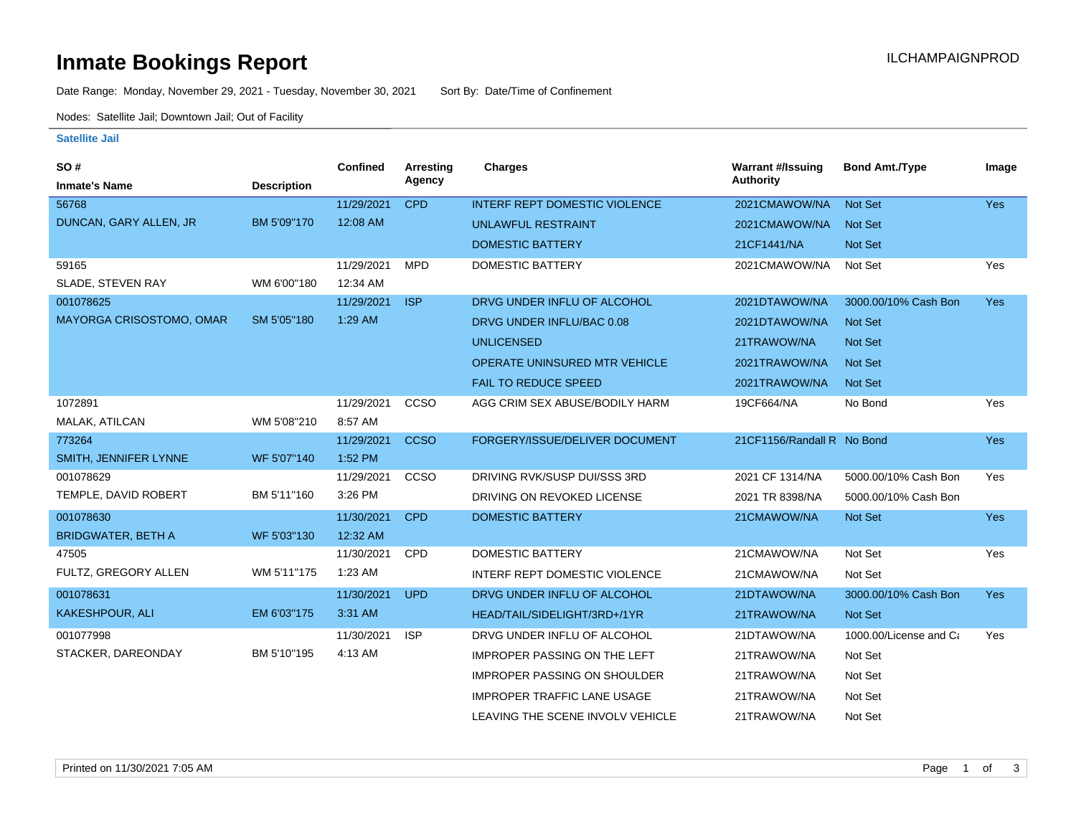# **Inmate Bookings Report Installation Control Control Control Control Control Control Control Control Control Control Control Control Control Control Control Control Control Control Control Control Control Control Control**

Date Range: Monday, November 29, 2021 - Tuesday, November 30, 2021 Sort By: Date/Time of Confinement

Nodes: Satellite Jail; Downtown Jail; Out of Facility

#### **Satellite Jail**

| SO#                       |                    | <b>Confined</b> | Arresting   | <b>Charges</b>                       | <b>Warrant #/Issuing</b>   | <b>Bond Amt./Type</b>  | Image      |
|---------------------------|--------------------|-----------------|-------------|--------------------------------------|----------------------------|------------------------|------------|
| <b>Inmate's Name</b>      | <b>Description</b> |                 | Agency      |                                      | Authority                  |                        |            |
| 56768                     |                    | 11/29/2021      | <b>CPD</b>  | <b>INTERF REPT DOMESTIC VIOLENCE</b> | 2021CMAWOW/NA              | Not Set                | <b>Yes</b> |
| DUNCAN, GARY ALLEN, JR    | BM 5'09"170        | 12:08 AM        |             | <b>UNLAWFUL RESTRAINT</b>            | 2021CMAWOW/NA              | <b>Not Set</b>         |            |
|                           |                    |                 |             | <b>DOMESTIC BATTERY</b>              | 21CF1441/NA                | Not Set                |            |
| 59165                     |                    | 11/29/2021      | <b>MPD</b>  | DOMESTIC BATTERY                     | 2021CMAWOW/NA              | Not Set                | Yes        |
| SLADE, STEVEN RAY         | WM 6'00"180        | 12:34 AM        |             |                                      |                            |                        |            |
| 001078625                 |                    | 11/29/2021      | <b>ISP</b>  | DRVG UNDER INFLU OF ALCOHOL          | 2021DTAWOW/NA              | 3000.00/10% Cash Bon   | Yes        |
| MAYORGA CRISOSTOMO, OMAR  | SM 5'05"180        | 1:29 AM         |             | DRVG UNDER INFLU/BAC 0.08            | 2021DTAWOW/NA              | Not Set                |            |
|                           |                    |                 |             | <b>UNLICENSED</b>                    | 21TRAWOW/NA                | <b>Not Set</b>         |            |
|                           |                    |                 |             | OPERATE UNINSURED MTR VEHICLE        | 2021TRAWOW/NA              | Not Set                |            |
|                           |                    |                 |             | FAIL TO REDUCE SPEED                 | 2021TRAWOW/NA              | Not Set                |            |
| 1072891                   |                    | 11/29/2021      | CCSO        | AGG CRIM SEX ABUSE/BODILY HARM       | 19CF664/NA                 | No Bond                | Yes        |
| MALAK, ATILCAN            | WM 5'08"210        | 8:57 AM         |             |                                      |                            |                        |            |
| 773264                    |                    | 11/29/2021      | <b>CCSO</b> | FORGERY/ISSUE/DELIVER DOCUMENT       | 21CF1156/Randall R No Bond |                        | Yes        |
| SMITH, JENNIFER LYNNE     | WF 5'07"140        | 1:52 PM         |             |                                      |                            |                        |            |
| 001078629                 |                    | 11/29/2021      | CCSO        | DRIVING RVK/SUSP DUI/SSS 3RD         | 2021 CF 1314/NA            | 5000.00/10% Cash Bon   | Yes        |
| TEMPLE, DAVID ROBERT      | BM 5'11"160        | 3:26 PM         |             | DRIVING ON REVOKED LICENSE           | 2021 TR 8398/NA            | 5000.00/10% Cash Bon   |            |
| 001078630                 |                    | 11/30/2021      | <b>CPD</b>  | <b>DOMESTIC BATTERY</b>              | 21CMAWOW/NA                | Not Set                | <b>Yes</b> |
| <b>BRIDGWATER, BETH A</b> | WF 5'03"130        | 12:32 AM        |             |                                      |                            |                        |            |
| 47505                     |                    | 11/30/2021      | CPD         | <b>DOMESTIC BATTERY</b>              | 21CMAWOW/NA                | Not Set                | Yes        |
| FULTZ, GREGORY ALLEN      | WM 5'11"175        | 1:23 AM         |             | INTERF REPT DOMESTIC VIOLENCE        | 21CMAWOW/NA                | Not Set                |            |
| 001078631                 |                    | 11/30/2021      | <b>UPD</b>  | DRVG UNDER INFLU OF ALCOHOL          | 21DTAWOW/NA                | 3000.00/10% Cash Bon   | <b>Yes</b> |
| <b>KAKESHPOUR, ALI</b>    | EM 6'03"175        | 3:31 AM         |             | HEAD/TAIL/SIDELIGHT/3RD+/1YR         | 21TRAWOW/NA                | Not Set                |            |
| 001077998                 |                    | 11/30/2021      | <b>ISP</b>  | DRVG UNDER INFLU OF ALCOHOL          | 21DTAWOW/NA                | 1000.00/License and Ca | Yes        |
| STACKER, DAREONDAY        | BM 5'10"195        | 4:13 AM         |             | <b>IMPROPER PASSING ON THE LEFT</b>  | 21TRAWOW/NA                | Not Set                |            |
|                           |                    |                 |             | <b>IMPROPER PASSING ON SHOULDER</b>  | 21TRAWOW/NA                | Not Set                |            |
|                           |                    |                 |             | <b>IMPROPER TRAFFIC LANE USAGE</b>   | 21TRAWOW/NA                | Not Set                |            |
|                           |                    |                 |             | LEAVING THE SCENE INVOLV VEHICLE     | 21TRAWOW/NA                | Not Set                |            |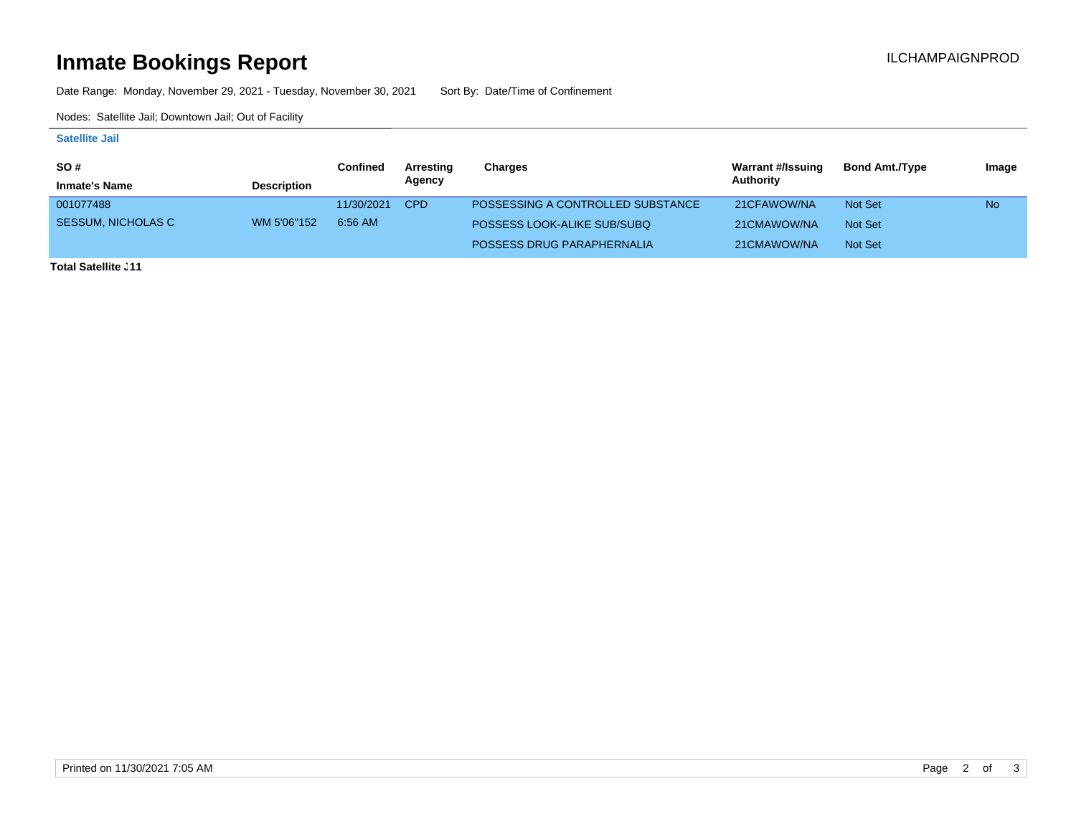# **Inmate Bookings Report Installation Control Control Control Control Control Control Control Control Control Control Control Control Control Control Control Control Control Control Control Control Control Control Control**

Date Range: Monday, November 29, 2021 - Tuesday, November 30, 2021 Sort By: Date/Time of Confinement

Nodes: Satellite Jail; Downtown Jail; Out of Facility

### **Satellite Jail**

| <b>SO#</b>                |                    | Confined   | Arresting  | Charges                           | <b>Warrant #/Issuing</b> | <b>Bond Amt./Type</b> | Image     |
|---------------------------|--------------------|------------|------------|-----------------------------------|--------------------------|-----------------------|-----------|
| <b>Inmate's Name</b>      | <b>Description</b> |            | Agency     |                                   | Authority                |                       |           |
| 001077488                 |                    | 11/30/2021 | <b>CPD</b> | POSSESSING A CONTROLLED SUBSTANCE | 21CFAWOW/NA              | <b>Not Set</b>        | <b>No</b> |
| <b>SESSUM, NICHOLAS C</b> | WM 5'06"152        | 6:56 AM    |            | POSSESS LOOK-ALIKE SUB/SUBQ       | 21CMAWOW/NA              | Not Set               |           |
|                           |                    |            |            | POSSESS DRUG PARAPHERNALIA        | 21CMAWOW/NA              | Not Set               |           |

**Total Satellite . 11**